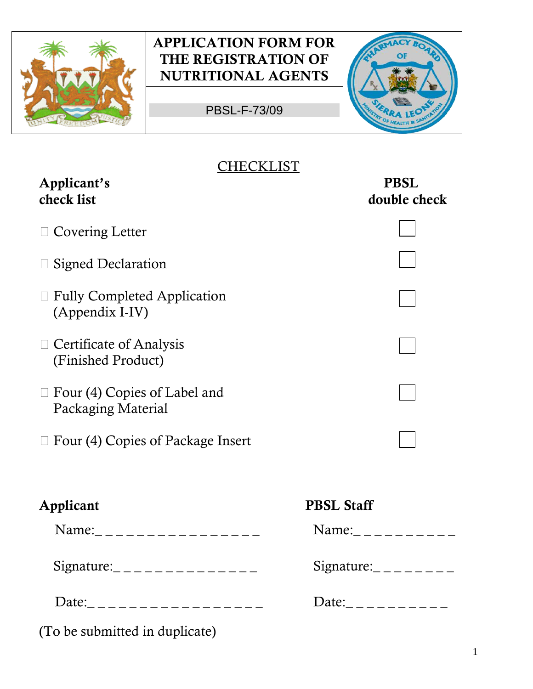

PBSL-F-73/09



#### **CHECKLIST**

| Applicant's<br>check list                             | <b>PBSL</b><br>double check                                              |
|-------------------------------------------------------|--------------------------------------------------------------------------|
| $\Box$ Covering Letter                                |                                                                          |
| Signed Declaration                                    |                                                                          |
| $\Box$ Fully Completed Application<br>(Appendix I-IV) |                                                                          |
| $\Box$ Certificate of Analysis<br>(Finished Product)  |                                                                          |
| Four (4) Copies of Label and<br>Packaging Material    |                                                                          |
| Four (4) Copies of Package Insert                     |                                                                          |
| Applicant                                             | <b>PBSL Staff</b>                                                        |
| Name:__________________                               | Name:___________                                                         |
| Signature: _ _ _ _ _ _ _ _ _ _ _ _ _ _ _              | Signature: $\frac{1}{2}$ - $\frac{1}{2}$ - $\frac{1}{2}$ - $\frac{1}{2}$ |
| Date:___________________                              | Date:__________                                                          |
| (To be submitted in duplicate)                        |                                                                          |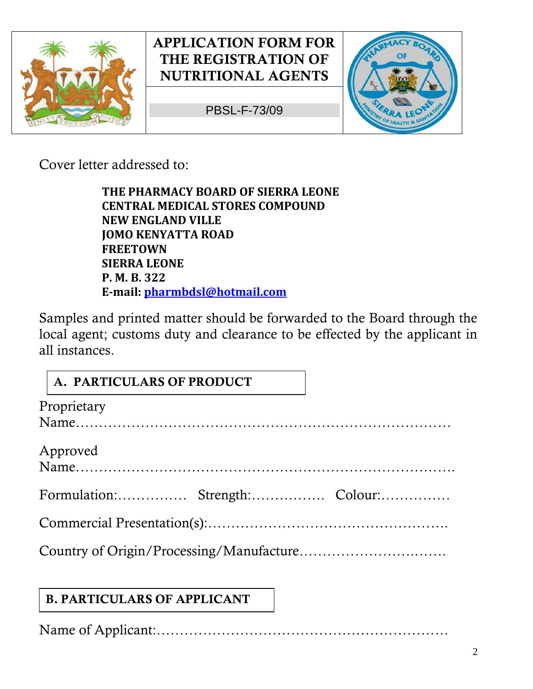

PBSL-F-73/09



Cover letter addressed to:

**THE PHARMACY BOARD OF SIERRA LEONE CENTRAL MEDICAL STORES COMPOUND NEW ENGLAND VILLE JOMO KENYATTA ROAD FREETOWN SIERRA LEONE P. M. B. 322 E-mail: [pharmbdsl@hotmail.com](mailto:pharmbdsl@hotmail.com)** 

Samples and printed matter should be forwarded to the Board through the local agent; customs duty and clearance to be effected by the applicant in all instances.

# **A. PARTICULARS OF PRODUCT**

| Proprietary                    |  |
|--------------------------------|--|
|                                |  |
| Approved                       |  |
| Formulation: Strength: Colour: |  |
|                                |  |
|                                |  |

# **B. PARTICULARS OF APPLICANT**

Name of Applicant:………………………………………………………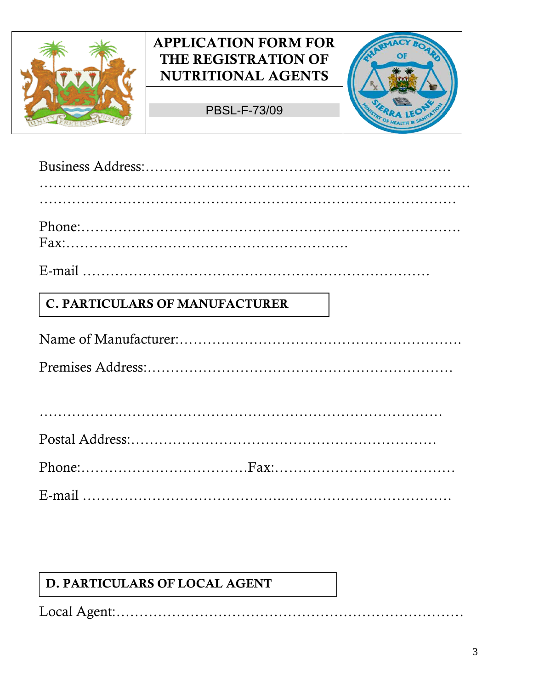

PBSL-F-73/09



| $\mathbf{r}$ and $\mathbf{r}$ and $\mathbf{r}$ |  |  |  |  |  |  |  |  |  |
|------------------------------------------------|--|--|--|--|--|--|--|--|--|

E-mail …………………………………………………………………

#### **C. PARTICULARS OF MANUFACTURER**

Name of Manufacturer:……………………………………………………. Premises Address:…………………………………………………………

#### **D. PARTICULARS OF LOCAL AGENT**

Local Agent:…………………………………………………………………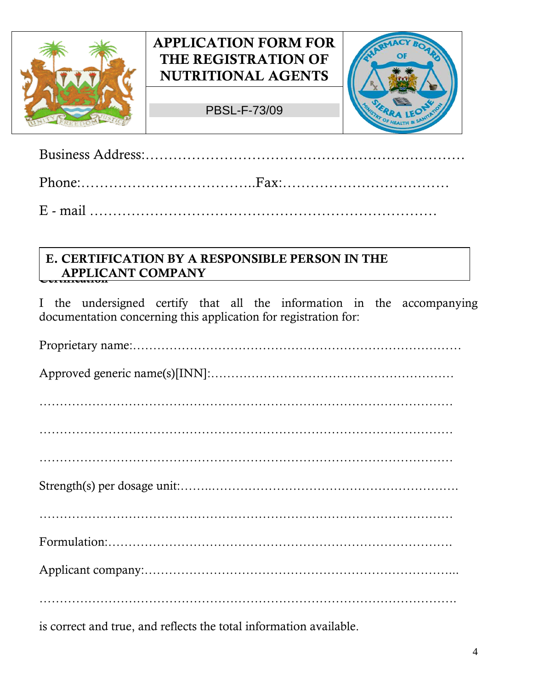

 $\overline{\mathbb{L}}$  $\overline{\phantom{a}}$ 

### **APPLICATION FORM FOR THE REGISTRATION OF NUTRITIONAL AGENTS**

PBSL-F-73/09



Business Address:…………………………………………………………… Phone:………………………………..Fax:………………………………

E - mail …………………………………………………………………

## **APPLICANT COMPANY E. CERTIFICATION BY A RESPONSIBLE PERSON IN THE**

I the undersigned certify that all the information in the accompanying documentation concerning this application for registration for:

is correct and true, and reflects the total information available.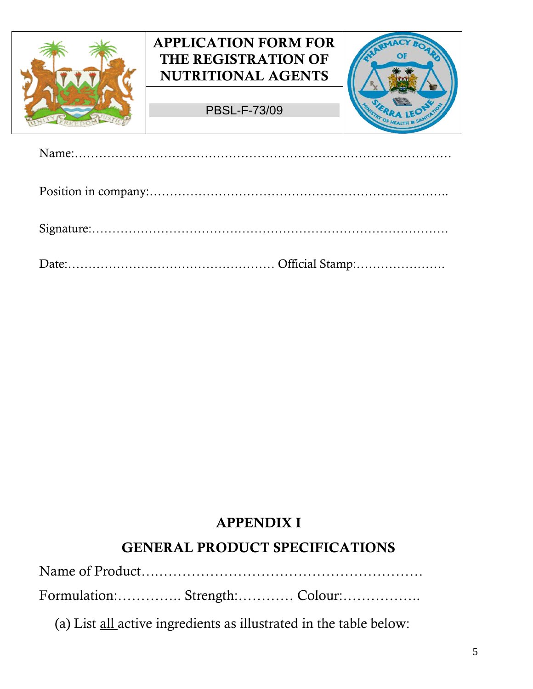



# **APPENDIX I**

#### **GENERAL PRODUCT SPECIFICATIONS**

Name of Product….…………………………………………………

Formulation:………….. Strength:………… Colour:……………..

(a) List all active ingredients as illustrated in the table below: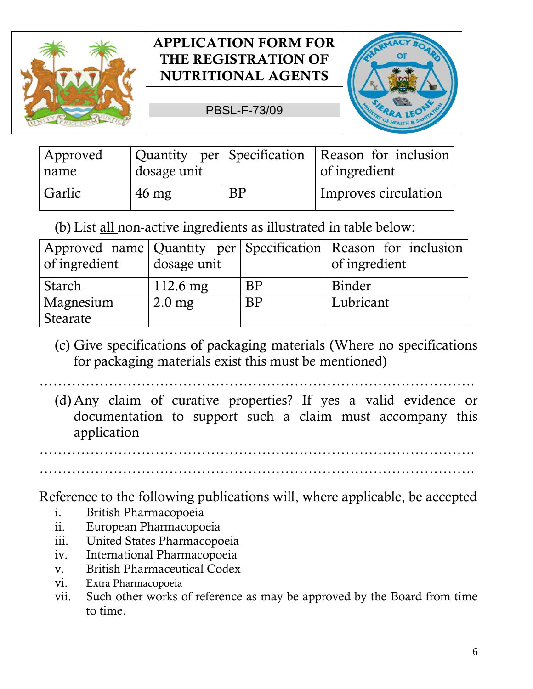

PBSL-F-73/09



| Approved | Quantity per Specification |    | Reason for inclusion |
|----------|----------------------------|----|----------------------|
| name     | dosage unit                |    | of ingredient        |
| Garlic   | $46 \text{ mg}$            | BP | Improves circulation |

(b) List all non-active ingredients as illustrated in table below:

| of ingredient | dosage unit        |           | Approved name   Quantity per   Specification   Reason for inclusion  <br>of ingredient |
|---------------|--------------------|-----------|----------------------------------------------------------------------------------------|
| Starch        | $112.6 \text{ mg}$ | BP        | Binder                                                                                 |
| Magnesium     | $2.0$ mg           | <b>BP</b> | Lubricant                                                                              |
| Stearate      |                    |           |                                                                                        |

(c) Give specifications of packaging materials (Where no specifications for packaging materials exist this must be mentioned)

………………………………………………………………………………….

(d) Any claim of curative properties? If yes a valid evidence or documentation to support such a claim must accompany this application

………………………………………………………………………………….

………………………………………………………………………………….

Reference to the following publications will, where applicable, be accepted

- i. British Pharmacopoeia
- ii. European Pharmacopoeia
- iii. United States Pharmacopoeia
- iv. International Pharmacopoeia
- v. British Pharmaceutical Codex
- vi. Extra Pharmacopoeia
- vii. Such other works of reference as may be approved by the Board from time to time.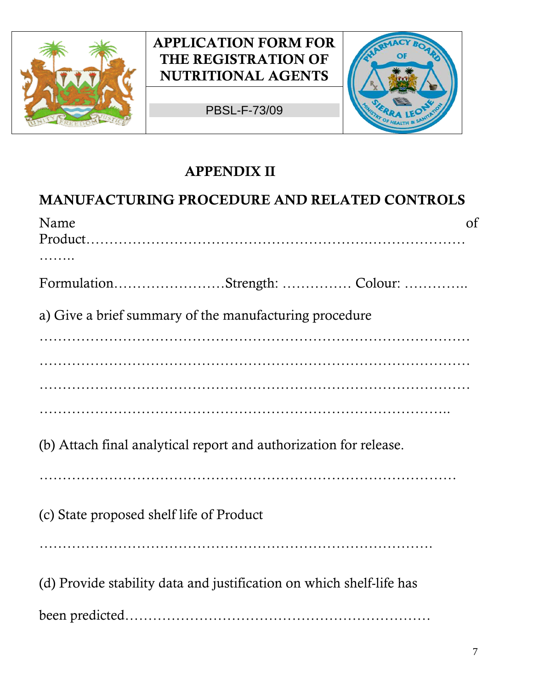

PBSL-F-73/09



# **APPENDIX II MANUFACTURING PROCEDURE AND RELATED CONTROLS**  Name of the contract of the contract of the contract of the contract of the contract of the contract of the contract of the contract of the contract of the contract of the contract of the contract of the contract of the co Product…………………………………………………….………………… …….. Formulation……………………Strength: …………… Colour: ………….. a) Give a brief summary of the manufacturing procedure ………………………………………………………………………………… ………………………………………………………………………………… ………………………………………………………………………………… …………………………………………………………………………….. (b) Attach final analytical report and authorization for release. ……………………………………………………………………………… (c) State proposed shelf life of Product …………………………………………………………………………. (d) Provide stability data and justification on which shelf-life has

been predicted…………………………………………………………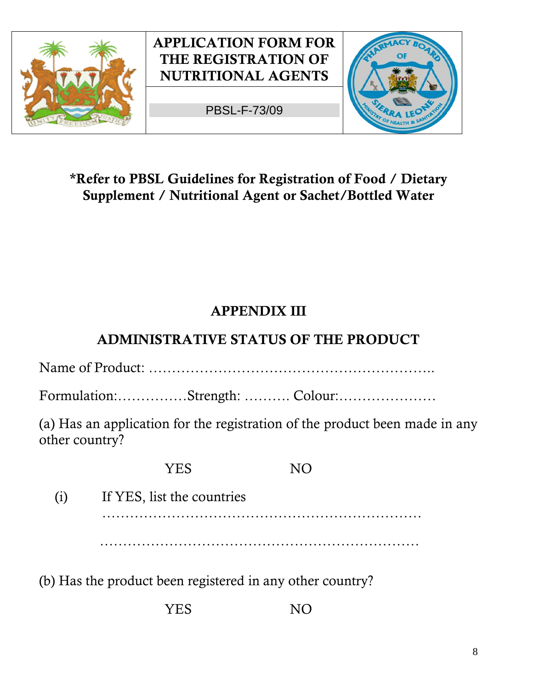

#### **\*Refer to PBSL Guidelines for Registration of Food / Dietary Supplement / Nutritional Agent or Sachet/Bottled Water**

## **APPENDIX III**

### **ADMINISTRATIVE STATUS OF THE PRODUCT**

Name of Product: ……………………………………………………..

Formulation:……………Strength: ………. Colour:…………………

(a) Has an application for the registration of the product been made in any other country?

……………………………………………………………

YES NO

(i) If YES, list the countries ……………………………………………………………

(b) Has the product been registered in any other country?

YES NO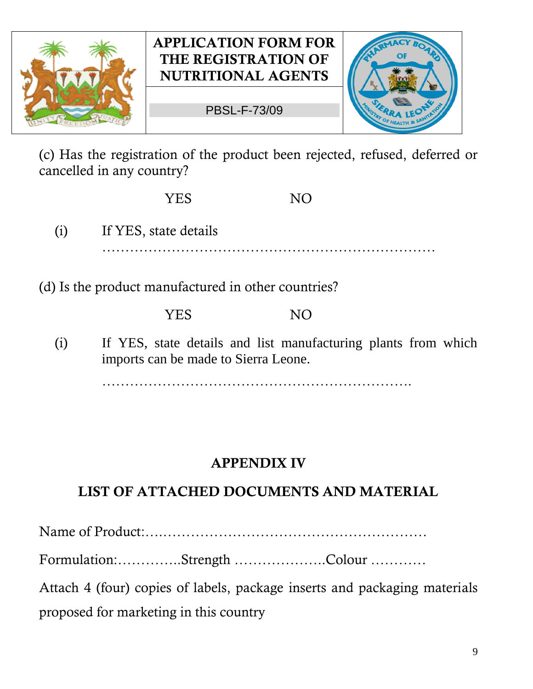

PBSL-F-73/09



(c) Has the registration of the product been rejected, refused, deferred or cancelled in any country?

YES NO

- (i) If YES, state details
	- ………………………………………………………………
- (d) Is the product manufactured in other countries?

#### YES NO

(i) If YES, state details and list manufacturing plants from which imports can be made to Sierra Leone.

………………………………………………………….

### **APPENDIX IV**

# **LIST OF ATTACHED DOCUMENTS AND MATERIAL**

Name of Product:….…………………………………………………

Formulation:…………..Strength ………………..Colour …………

Attach 4 (four) copies of labels, package inserts and packaging materials proposed for marketing in this country